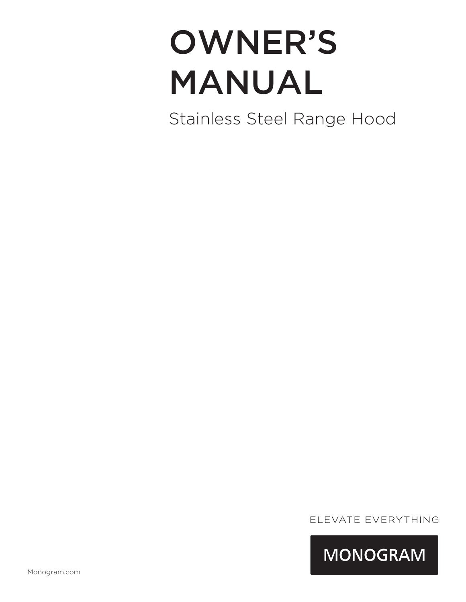# OWNER'S MANUAL

Stainless Steel Range Hood

ELEVATE EVERYTHING

**MONOGRAM**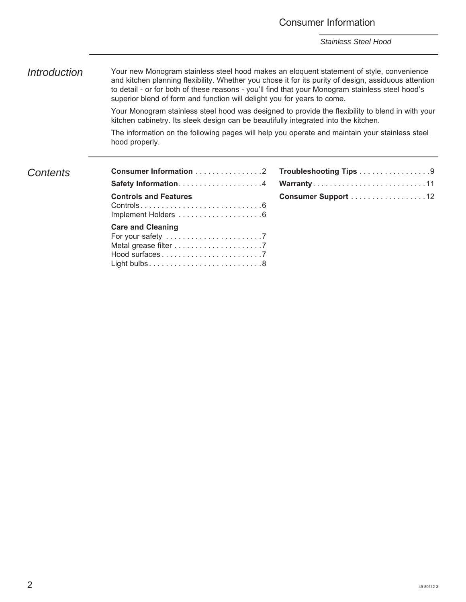### Consumer Information

*Stainless Steel Hood*

*Introduction* Your new Monogram stainless steel hood makes an eloquent statement of style, convenience and kitchen planning flexibility. Whether you chose it for its purity of design, assiduous attention to detail - or for both of these reasons - you'll find that your Monogram stainless steel hood's superior blend of form and function will delight you for years to come.

> Your Monogram stainless steel hood was designed to provide the flexibility to blend in with your kitchen cabinetry. Its sleek design can be beautifully integrated into the kitchen.

The information on the following pages will help you operate and maintain your stainless steel hood properly.

### *Contents*

| <b>Consumer Information 2</b> |
|-------------------------------|
|                               |
| <b>Controls and Features</b>  |
| <b>Care and Cleaning</b>      |

| Troubleshooting Tips 9 |  |  |  |  |  |  |  |  |
|------------------------|--|--|--|--|--|--|--|--|
| Warranty11             |  |  |  |  |  |  |  |  |
| Consumer Support 12    |  |  |  |  |  |  |  |  |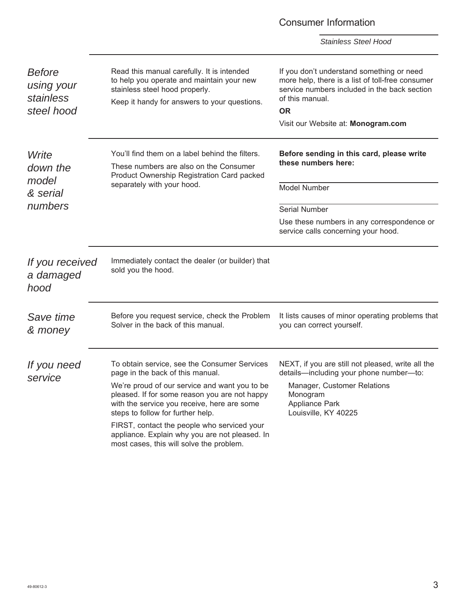#### Consumer Information *Stainless Steel Hood Before using your stainless steel hood Write down the model & serial numbers If you received a damaged hood Save time & money If you need service* You'll find them on a label behind the filters. These numbers are also on the Consumer Product Ownership Registration Card packed separately with your hood. **Before sending in this card, please write these numbers here:** Model Number Serial Number Use these numbers in any correspondence or service calls concerning your hood. Immediately contact the dealer (or builder) that sold you the hood. Before you request service, check the Problem Solver in the back of this manual. It lists causes of minor operating problems that you can correct yourself. To obtain service, see the Consumer Services page in the back of this manual. We're proud of our service and want you to be pleased. If for some reason you are not happy with the service you receive, here are some steps to follow for further help. FIRST, contact the people who serviced your appliance. Explain why you are not pleased. In most cases, this will solve the problem. NEXT, if you are still not pleased, write all the details—including your phone number—to: Manager, Customer Relations Monogram Appliance Park Louisville, KY 40225 Read this manual carefully. It is intended to help you operate and maintain your new stainless steel hood properly. Keep it handy for answers to your questions. If you don't understand something or need more help, there is a list of toll-free consumer service numbers included in the back section of this manual. **OR** Visit our Website at: **Monogram.com**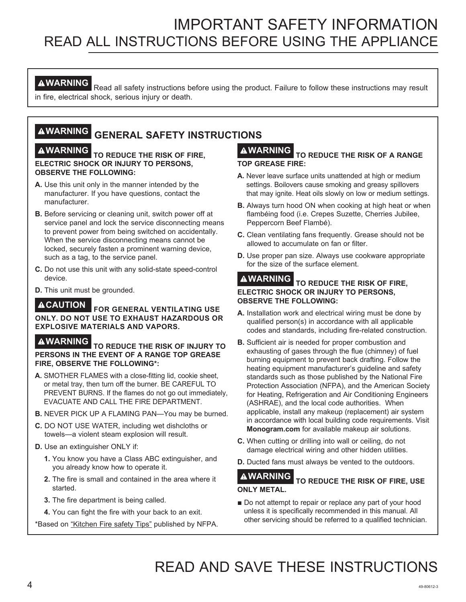# IMPORTANT SAFETY INFORMATION READ ALL INSTRUCTIONS BEFORE USING THE APPLIANCE

**AWARNING** Read all safety instructions before using the product. Failure to follow these instructions may result in fire, electrical shock, serious injury or death.

# **WARNING GENERAL SAFETY INSTRUCTIONS**

#### **WARNING TO REDUCE THE RISK OF FIRE, ELECTRIC SHOCK OR INJURY TO PERSONS, OBSERVE THE FOLLOWING:**

- **A.** Use this unit only in the manner intended by the manufacturer. If you have questions, contact the manufacturer.
- **B.** Before servicing or cleaning unit, switch power off at service panel and lock the service disconnecting means to prevent power from being switched on accidentally. When the service disconnecting means cannot be locked, securely fasten a prominent warning device, such as a tag, to the service panel.
- **C.** Do not use this unit with any solid-state speed-control device.
- **D.** This unit must be grounded.

#### **CAUTION FOR GENERAL VENTILATING USE ONLY. DO NOT USE TO EXHAUST HAZARDOUS OR EXPLOSIVE MATERIALS AND VAPORS.**

**WARNING TO REDUCE THE RISK OF INJURY TO PERSONS IN THE EVENT OF A RANGE TOP GREASE FIRE, OBSERVE THE FOLLOWING\*:**

- **A.** SMOTHER FLAMES with a close-fitting lid, cookie sheet, or metal tray, then turn off the burner. BE CAREFUL TO PREVENT BURNS. If the flames do not go out immediately, EVACUATE AND CALL THE FIRE DEPARTMENT.
- **B.** NEVER PICK UP A FLAMING PAN—You may be burned.
- **C.** DO NOT USE WATER, including wet dishcloths or towels—a violent steam explosion will result.
- **D.** Use an extinguisher ONLY if:
	- **1.** You know you have a Class ABC extinguisher, and you already know how to operate it.
	- **2.** The fire is small and contained in the area where it started.
	- **3.** The fire department is being called.
	- **4.** You can fight the fire with your back to an exit.

\*Based on "Kitchen Fire safety Tips" published by NFPA.

### **WARNING TO REDUCE THE RISK OF A RANGE TOP GREASE FIRE:**

- **A.** Never leave surface units unattended at high or medium settings. Boilovers cause smoking and greasy spillovers that may ignite. Heat oils slowly on low or medium settings.
- **B.** Always turn hood ON when cooking at high heat or when flambéing food (i.e. Crepes Suzette, Cherries Jubilee, Peppercorn Beef Flambé).
- **C.** Clean ventilating fans frequently. Grease should not be allowed to accumulate on fan or filter.
- **D.** Use proper pan size. Always use cookware appropriate for the size of the surface element.

#### **WARNING TO REDUCE THE RISK OF FIRE, ELECTRIC SHOCK OR INJURY TO PERSONS, OBSERVE THE FOLLOWING:**

- **A.** Installation work and electrical wiring must be done by qualified person(s) in accordance with all applicable codes and standards, including fire-related construction.
- **B.** Sufficient air is needed for proper combustion and exhausting of gases through the flue (chimney) of fuel burning equipment to prevent back drafting. Follow the heating equipment manufacturer's guideline and safety standards such as those published by the National Fire Protection Association (NFPA), and the American Society for Heating, Refrigeration and Air Conditioning Engineers (ASHRAE), and the local code authorities. When applicable, install any makeup (replacement) air system in accordance with local building code requirements. Visit **Monogram.com** for available makeup air solutions.
- **C.** When cutting or drilling into wall or ceiling, do not damage electrical wiring and other hidden utilities.
- **D.** Ducted fans must always be vented to the outdoors.

### **WARNING TO REDUCE THE RISK OF FIRE, USE ONLY METAL.**

 $\blacksquare$  Do not attempt to repair or replace any part of your hood unless it is specifically recommended in this manual. All other servicing should be referred to a qualified technician.

# READ AND SAVE THESE INSTRUCTIONS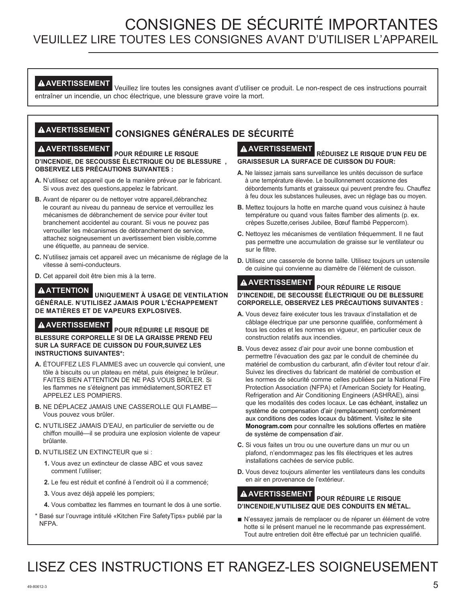# CONSIGNES DE SÉCURITÉ IMPORTANTES VEUILLEZ LIRE TOUTES LES CONSIGNES AVANT D'UTILISER L'APPAREIL

**AVERTISSEMENT** Veuillez lire toutes les consignes avant d'utiliser ce produit. Le non-respect de ces instructions pourrait entraîner un incendie, un choc électrique, une blessure grave voire la mort.

# **AVERTISSEMENT CONSIGNES GÉNÉRALES DE SÉCURITÉ**

**AVERTISSEMENT POUR RÉDUIRE LE RISQUE D'INCENDIE, DE SECOUSSE ÉLECTRIQUE OU DE BLESSURE , OBSERVEZ LES PRÉCAUTIONS SUIVANTES :**

- **A.** N'utilisez cet appareil que de la manière prévue par le fabricant. Si vous avez des questions,appelez le fabricant.
- **B.** Avant de réparer ou de nettoyer votre appareil,débranchez le courant au niveau du panneau de service et verrouillez les mécanismes de débranchement de service pour éviter tout branchement accidentel au courant. Si vous ne pouvez pas verrouiller les mécanismes de débranchement de service, attachez soigneusement un avertissement bien visible,comme une étiquette, au panneau de service.
- **C.** N'utilisez jamais cet appareil avec un mécanisme de réglage de la vitesse à semi-conducteurs.
- **D.** Cet appareil doit être bien mis à la terre.

**ATTENTION UNIQUEMENT À USAGE DE VENTILATION GÉNÉRALE. N'UTILISEZ JAMAIS POUR L'ÉCHAPPEMENT DE MATIÈRES ET DE VAPEURS EXPLOSIVES.**

**AVERTISSEMENT POUR RÉDUIRE LE RISQUE DE BLESSURE CORPORELLE SI DE LA GRAISSE PREND FEU SUR LA SURFACE DE CUISSON DU FOUR,SUIVEZ LES INSTRUCTIONS SUIVANTES\*:**

- **A.** ÉTOUFFEZ LES FLAMMES avec un couvercle qui convient, une tôle à biscuits ou un plateau en métal, puis éteignez le brûleur. FAITES BIEN ATTENTION DE NE PAS VOUS BRÛLER. Si les flammes ne s'éteignent pas immédiatement,SORTEZ ET APPELEZ LES POMPIERS.
- **B.** NE DÉPLACEZ JAMAIS UNE CASSEROLLE QUI FLAMBE— Vous pouvez vous brûler.
- **C.** N'UTILISEZ JAMAIS D'EAU, en particulier de serviette ou de chiffon mouillé—il se produira une explosion violente de vapeur brûlante.

#### **D.** N'UTILISEZ UN EXTINCTEUR que si :

- **1.** Vous avez un extincteur de classe ABC et vous savez comment l'utiliser;
- **2.** Le feu est réduit et confiné à l'endroit où il a commencé;
- **3.** Vous avez déjà appelé les pompiers;
- **4.** Vous combattez les flammes en tournant le dos à une sortie.
- \* Basé sur l'ouvrage intitulé «Kitchen Fire SafetyTips» publié par la NFPA.

# **AVERTISSEMENT RÉDUISEZ LE RISQUE D'UN FEU DE**

**GRAISSESUR LA SURFACE DE CUISSON DU FOUR:**

- **A.** Ne laissez jamais sans surveillance les unités decuisson de surface à une température élevée. Le bouillonnement occasionne des débordements fumants et graisseux qui peuvent prendre feu. Chauffez à feu doux les substances huileuses, avec un réglage bas ou moyen.
- **B.** Mettez toujours la hotte en marche quand vous cuisinez à haute température ou quand vous faites flamber des aliments (p. ex. crèpes Suzette,cerises Jubilee, Bœuf flambé Peppercorn).
- **C.** Nettoyez les mécanismes de ventilation fréquemment. Il ne faut pas permettre une accumulation de graisse sur le ventilateur ou sur le filtre.
- **D.** Utilisez une casserole de bonne taille. Utilisez toujours un ustensile de cuisine qui convienne au diamètre de l'élément de cuisson.

#### **AVERTISSEMENT POUR RÉDUIRE LE RISQUE D'INCENDIE, DE SECOUSSE ÉLECTRIQUE OU DE BLESSURE CORPORELLE, OBSERVEZ LES PRÉCAUTIONS SUIVANTES :**

- **A.** Vous devez faire exécuter tous les travaux d'installation et de câblage électrique par une personne qualifiée, conformément à tous les codes et les normes en vigueur, en particulier ceux de construction relatifs aux incendies.
- **B.** Vous devez assez d'air pour avoir une bonne combustion et permettre l'évacuation des gaz par le conduit de cheminée du matériel de combustion du carburant, afin d'éviter tout retour d'air. Suivez les directives du fabricant de matériel de combustion et les normes de sécurité comme celles publiées par la National Fire Protection Association (NFPA) et l'American Society for Heating, Refrigeration and Air Conditioning Engineers (ASHRAE), ainsi que les modalités des codes locaux. Le cas échéant, installez un système de compensation d'air (remplacement) conformément aux conditions des codes locaux du bâtiment. Visitez le site **Monogram.com** pour connaître les solutions offertes en matière de système de compensation d'air.
- **C.** Si vous faites un trou ou une ouverture dans un mur ou un plafond, n'endommagez pas les fils électriques et les autres installations cachées de service public.
- **D.** Vous devez toujours alimenter les ventilateurs dans les conduits en air en provenance de l'extérieur.

# **AVERTISSEMENT POUR RÉDUIRE LE RISQUE**

### **D'INCENDIE,N'UTILISEZ QUE DES CONDUITS EN MÉTAL.**

■ N'essayez jamais de remplacer ou de réparer un élément de votre hotte si le présent manuel ne le recommande pas expressément. Tout autre entretien doit être effectué par un technicien qualifié.

# LISEZ CES INSTRUCTIONS ET RANGEZ-LES SOIGNEUSEMENT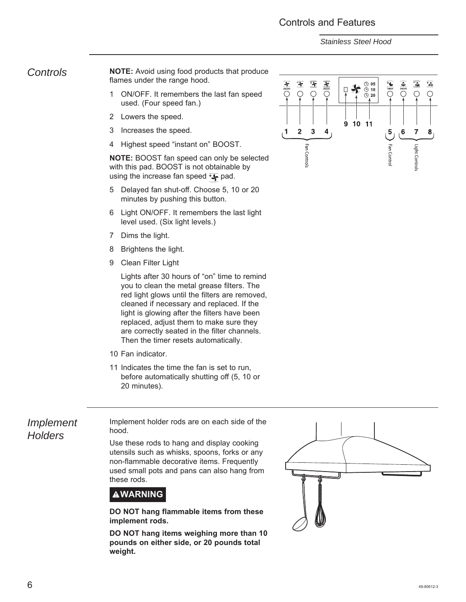### Controls and Features

*Stainless Steel Hood*

*Controls* **NOTE:** Avoid using food products that produce flames under the range hood.

- 1 ON/OFF. It remembers the last fan speed used. (Four speed fan.)
- 2 Lowers the speed.
- 3 Increases the speed.
- 4 Highest speed "instant on" BOOST.

**NOTE:** BOOST fan speed can only be selected with this pad. BOOST is not obtainable by using the increase fan speed  $\mathbf{F}$  pad.

- 5 Delayed fan shut-off. Choose 5, 10 or 20 minutes by pushing this button.
- 6 Light ON/OFF. It remembers the last light level used. (Six light levels.)
- 7 Dims the light.
- 8 Brightens the light.
- 9 Clean Filter Light

 Lights after 30 hours of "on" time to remind you to clean the metal grease filters. The red light glows until the filters are removed, cleaned if necessary and replaced. If the light is glowing after the filters have been replaced, adjust them to make sure they are correctly seated in the filter channels. Then the timer resets automatically.

- 10 Fan indicator.
- 11 Indicates the time the fan is set to run, before automatically shutting off (5, 10 or 20 minutes).

*Implement Holders*

Implement holder rods are on each side of the hood.

Use these rods to hang and display cooking utensils such as whisks, spoons, forks or any non-flammable decorative items. Frequently used small pots and pans can also hang from these rods.



**DO NOT hang flammable items from these implement rods.**

**DO NOT hang items weighing more than 10 pounds on either side, or 20 pounds total weight.**



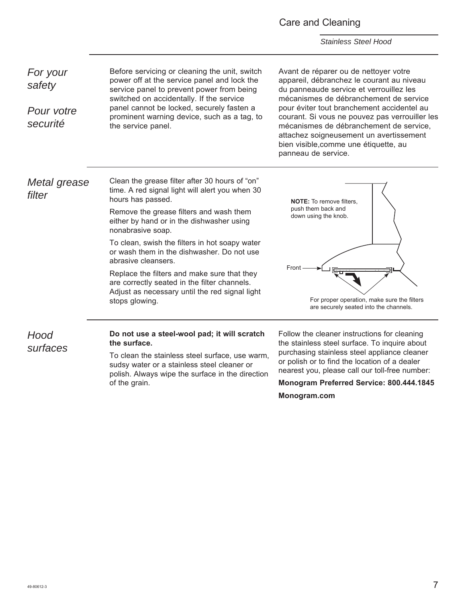#### Care and Cleaning

*Stainless Steel Hood*

*For your safety Pour votre securité* Before servicing or cleaning the unit, switch power off at the service panel and lock the service panel to prevent power from being switched on accidentally. If the service panel cannot be locked, securely fasten a prominent warning device, such as a tag, to the service panel. Avant de réparer ou de nettoyer votre appareil, débranchez le courant au niveau du panneaude service et verrouillez les mécanismes de débranchement de service pour éviter tout branchement accidentel au courant. Si vous ne pouvez pas verrouiller les mécanismes de débranchement de service, attachez soigneusement un avertissement bien visible,comme une étiquette, au panneau de service. *Metal grease filter Hood surfaces* Clean the grease filter after 30 hours of "on" time. A red signal light will alert you when 30 hours has passed. Remove the grease filters and wash them either by hand or in the dishwasher using nonabrasive soap. To clean, swish the filters in hot soapy water or wash them in the dishwasher. Do not use abrasive cleansers. Replace the filters and make sure that they are correctly seated in the filter channels. Adjust as necessary until the red signal light stops glowing. **Do not use a steel-wool pad; it will scratch the surface. NOTE:** To remove filters. push them back and down using the knob. Front For proper operation, make sure the filters are securely seated into the channels.

To clean the stainless steel surface, use warm,

sudsy water or a stainless steel cleaner or polish. Always wipe the surface in the direction of the grain.

Follow the cleaner instructions for cleaning the stainless steel surface. To inquire about purchasing stainless steel appliance cleaner or polish or to find the location of a dealer nearest you, please call our toll-free number:

**Monogram Preferred Service: 800.444.1845 Monogram.com**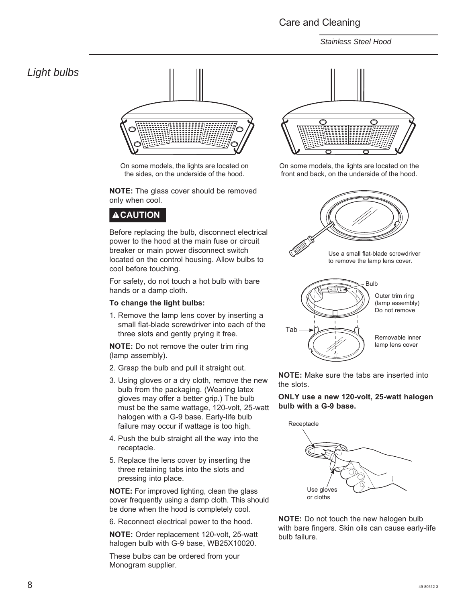### Care and Cleaning

*Stainless Steel Hood*

### *Light bulbs*



On some models, the lights are located on the sides, on the underside of the hood.

**NOTE:** The glass cover should be removed only when cool.

## **ACAUTION**

Before replacing the bulb, disconnect electrical power to the hood at the main fuse or circuit breaker or main power disconnect switch located on the control housing. Allow bulbs to cool before touching.

For safety, do not touch a hot bulb with bare hands or a damp cloth.

#### **To change the light bulbs:**

1. Remove the lamp lens cover by inserting a small flat-blade screwdriver into each of the three slots and gently prying it free.

**NOTE:** Do not remove the outer trim ring (lamp assembly).

- 2. Grasp the bulb and pull it straight out.
- 3. Using gloves or a dry cloth, remove the new bulb from the packaging. (Wearing latex gloves may offer a better grip.) The bulb must be the same wattage, 120-volt, 25-watt halogen with a G-9 base. Early-life bulb failure may occur if wattage is too high.
- 4. Push the bulb straight all the way into the receptacle.
- 5. Replace the lens cover by inserting the three retaining tabs into the slots and pressing into place.

**NOTE:** For improved lighting, clean the glass cover frequently using a damp cloth. This should be done when the hood is completely cool.

6. Reconnect electrical power to the hood.

**NOTE:** Order replacement 120-volt, 25-watt halogen bulb with G-9 base, WB25X10020.

These bulbs can be ordered from your Monogram supplier.



On some models, the lights are located on the front and back, on the underside of the hood.



**NOTE:** Make sure the tabs are inserted into the slots.

**ONLY use a new 120-volt, 25-watt halogen bulb with a G-9 base.**



**NOTE:** Do not touch the new halogen bulb with bare fingers. Skin oils can cause early-life bulb failure.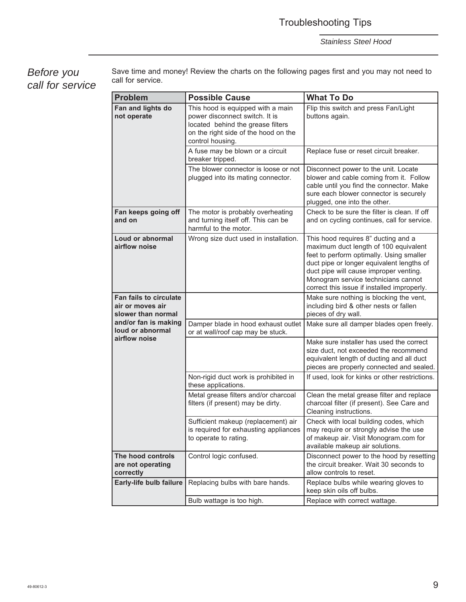# Troubleshooting Tips

*Stainless Steel Hood*

*Before you call for service* Save time and money! Review the charts on the following pages first and you may not need to call for service.

| <b>Problem</b>                                                          | <b>Possible Cause</b>                                                                                                                                                | <b>What To Do</b>                                                                                                                                                                                                                                                                                     |  |  |  |  |
|-------------------------------------------------------------------------|----------------------------------------------------------------------------------------------------------------------------------------------------------------------|-------------------------------------------------------------------------------------------------------------------------------------------------------------------------------------------------------------------------------------------------------------------------------------------------------|--|--|--|--|
|                                                                         |                                                                                                                                                                      |                                                                                                                                                                                                                                                                                                       |  |  |  |  |
| Fan and lights do<br>not operate                                        | This hood is equipped with a main<br>power disconnect switch. It is<br>located behind the grease filters<br>on the right side of the hood on the<br>control housing. | Flip this switch and press Fan/Light<br>buttons again.                                                                                                                                                                                                                                                |  |  |  |  |
|                                                                         | A fuse may be blown or a circuit<br>breaker tripped.                                                                                                                 | Replace fuse or reset circuit breaker.                                                                                                                                                                                                                                                                |  |  |  |  |
|                                                                         | The blower connector is loose or not<br>plugged into its mating connector.                                                                                           | Disconnect power to the unit. Locate<br>blower and cable coming from it. Follow<br>cable until you find the connector. Make<br>sure each blower connector is securely<br>plugged, one into the other.                                                                                                 |  |  |  |  |
| Fan keeps going off<br>and on                                           | The motor is probably overheating<br>and turning itself off. This can be<br>harmful to the motor.                                                                    | Check to be sure the filter is clean. If off<br>and on cycling continues, call for service.                                                                                                                                                                                                           |  |  |  |  |
| Loud or abnormal<br>airflow noise                                       | Wrong size duct used in installation.                                                                                                                                | This hood requires 8" ducting and a<br>maximum duct length of 100 equivalent<br>feet to perform optimally. Using smaller<br>duct pipe or longer equivalent lengths of<br>duct pipe will cause improper venting.<br>Monogram service technicians cannot<br>correct this issue if installed improperly. |  |  |  |  |
| <b>Fan fails to circulate</b><br>air or moves air<br>slower than normal |                                                                                                                                                                      | Make sure nothing is blocking the vent,<br>including bird & other nests or fallen<br>pieces of dry wall.                                                                                                                                                                                              |  |  |  |  |
| and/or fan is making<br>loud or abnormal                                | Damper blade in hood exhaust outlet<br>or at wall/roof cap may be stuck.                                                                                             | Make sure all damper blades open freely.                                                                                                                                                                                                                                                              |  |  |  |  |
| airflow noise                                                           |                                                                                                                                                                      | Make sure installer has used the correct<br>size duct, not exceeded the recommend<br>equivalent length of ducting and all duct<br>pieces are properly connected and sealed.                                                                                                                           |  |  |  |  |
|                                                                         | Non-rigid duct work is prohibited in<br>these applications.                                                                                                          | If used, look for kinks or other restrictions.                                                                                                                                                                                                                                                        |  |  |  |  |
|                                                                         | Metal grease filters and/or charcoal<br>filters (if present) may be dirty.                                                                                           | Clean the metal grease filter and replace<br>charcoal filter (if present). See Care and<br>Cleaning instructions.                                                                                                                                                                                     |  |  |  |  |
|                                                                         | Sufficient makeup (replacement) air<br>is required for exhausting appliances<br>to operate to rating.                                                                | Check with local building codes, which<br>may require or strongly advise the use<br>of makeup air. Visit Monogram.com for<br>available makeup air solutions.                                                                                                                                          |  |  |  |  |
| The hood controls<br>are not operating<br>correctly                     | Control logic confused.                                                                                                                                              | Disconnect power to the hood by resetting<br>the circuit breaker. Wait 30 seconds to<br>allow controls to reset.                                                                                                                                                                                      |  |  |  |  |
| Early-life bulb failure                                                 | Replacing bulbs with bare hands.                                                                                                                                     | Replace bulbs while wearing gloves to<br>keep skin oils off bulbs.                                                                                                                                                                                                                                    |  |  |  |  |
|                                                                         | Bulb wattage is too high.                                                                                                                                            | Replace with correct wattage.                                                                                                                                                                                                                                                                         |  |  |  |  |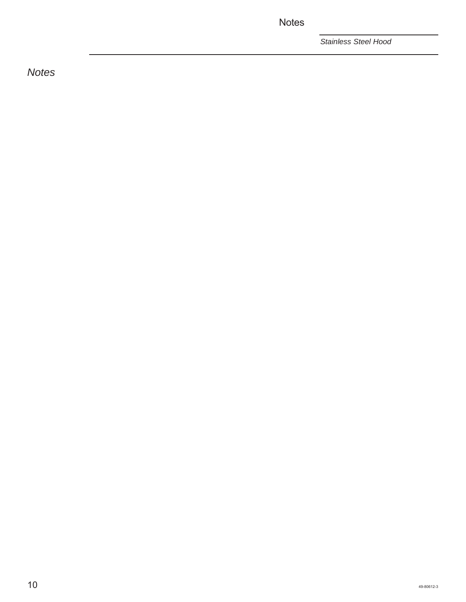**Notes** 

*Stainless Steel Hood*

*Notes*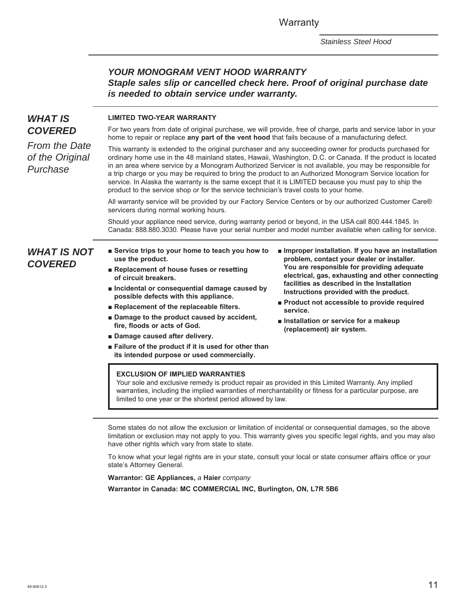**Warranty** 

*Stainless Steel Hood*

### *YOUR MONOGRAM VENT HOOD WARRANTY Staple sales slip or cancelled check here. Proof of original purchase date is needed to obtain service under warranty.*

### *WHAT IS COVERED*

*From the Date of the Original* 

*Purchase*

#### **LIMITED TWO-YEAR WARRANTY**

For two years from date of original purchase, we will provide, free of charge, parts and service labor in your home to repair or replace **any part of the vent hood** that fails because of a manufacturing defect.

This warranty is extended to the original purchaser and any succeeding owner for products purchased for ordinary home use in the 48 mainland states, Hawaii, Washington, D.C. or Canada. If the product is located in an area where service by a Monogram Authorized Servicer is not available, you may be responsible for a trip charge or you may be required to bring the product to an Authorized Monogram Service location for service. In Alaska the warranty is the same except that it is LIMITED because you must pay to ship the product to the service shop or for the service technician's travel costs to your home.

All warranty service will be provided by our Factory Service Centers or by our authorized Customer Care® servicers during normal working hours.

Should your appliance need service, during warranty period or beyond, in the USA call 800.444.1845. In Canada: 888.880.3030. Please have your serial number and model number available when calling for service.

### *WHAT IS NOT COVERED*

- **B** Service trips to your home to teach you how to **use the product.**
- Replacement of house fuses or resetting **of circuit breakers.**
- $\blacksquare$  Incidental or consequential damage caused by **possible defects with this appliance.**
- Replacement of the replaceable filters.
- $\blacksquare$  Damage to the product caused by accident, **fire, floods or acts of God.**
- **E** Damage caused after delivery.
- **Example 3** Failure of the product if it is used for other than **its intended purpose or used commercially.**
- $\blacksquare$  Improper installation. If you have an installation **problem, contact your dealer or installer. You are responsible for providing adequate electrical, gas, exhausting and other connecting facilities as described in the Installation Instructions provided with the product.**
- **Product not accessible to provide required service.**
- $\blacksquare$  Installation or service for a makeup **(replacement) air system.**

#### **EXCLUSION OF IMPLIED WARRANTIES**

Your sole and exclusive remedy is product repair as provided in this Limited Warranty. Any implied warranties, including the implied warranties of merchantability or fitness for a particular purpose, are limited to one year or the shortest period allowed by law.

Some states do not allow the exclusion or limitation of incidental or consequential damages, so the above limitation or exclusion may not apply to you. This warranty gives you specific legal rights, and you may also have other rights which vary from state to state.

To know what your legal rights are in your state, consult your local or state consumer affairs office or your state's Attorney General.

**Warrantor: GE Appliances,** *a* **Haier** *company* **Warrantor in Canada: MC COMMERCIAL INC, Burlington, ON, L7R 5B6**